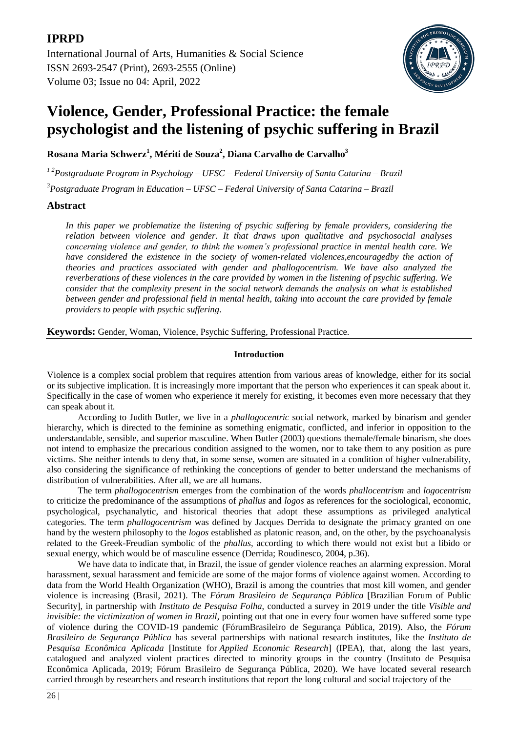# **IPRPD**

[International Journal of Arts, Humanities & Social Science](https://ijahss.net/) ISSN 2693-2547 (Print), 2693-2555 (Online) Volume 03; Issue no 04: April, 2022



# **Violence, Gender, Professional Practice: the female psychologist and the listening of psychic suffering in Brazil**

**Rosana Maria Schwerz<sup>1</sup> , Mériti de Souza<sup>2</sup> , Diana Carvalho de Carvalho<sup>3</sup>**

*1 2Postgraduate Program in Psychology – UFSC – Federal University of Santa Catarina – Brazil*

*3 Postgraduate Program in Education – UFSC – Federal University of Santa Catarina – Brazil*

**Abstract**

*In this paper we problematize the listening of psychic suffering by female providers, considering the relation between violence and gender. It that draws upon qualitative and psychosocial analyses concerning violence and gender, to think the women's professional practice in mental health care. We have considered the existence in the society of women-related violences,encouragedby the action of theories and practices associated with gender and phallogocentrism. We have also analyzed the reverberations of these violences in the care provided by women in the listening of psychic suffering. We consider that the complexity present in the social network demands the analysis on what is established between gender and professional field in mental health, taking into account the care provided by female providers to people with psychic suffering*.

**Keywords:** Gender, Woman, Violence, Psychic Suffering, Professional Practice.

# **Introduction**

Violence is a complex social problem that requires attention from various areas of knowledge, either for its social or its subjective implication. It is increasingly more important that the person who experiences it can speak about it. Specifically in the case of women who experience it merely for existing, it becomes even more necessary that they can speak about it.

According to Judith Butler, we live in a *phallogocentric* social network, marked by binarism and gender hierarchy, which is directed to the feminine as something enigmatic, conflicted, and inferior in opposition to the understandable, sensible, and superior masculine. When Butler (2003) questions themale/female binarism, she does not intend to emphasize the precarious condition assigned to the women, nor to take them to any position as pure victims. She neither intends to deny that, in some sense, women are situated in a condition of higher vulnerability, also considering the significance of rethinking the conceptions of gender to better understand the mechanisms of distribution of vulnerabilities. After all, we are all humans.

The term *phallogocentrism* emerges from the combination of the words *phallocentrism* and *logocentrism* to criticize the predominance of the assumptions of *phallus* and *logos* as references for the sociological, economic, psychological, psychanalytic, and historical theories that adopt these assumptions as privileged analytical categories. The term *phallogocentrism* was defined by Jacques Derrida to designate the primacy granted on one hand by the western philosophy to the *logos* established as platonic reason, and, on the other, by the psychoanalysis related to the Greek-Freudian symbolic of the *phallus*, according to which there would not exist but a libido or sexual energy, which would be of masculine essence (Derrida; Roudinesco, 2004, p.36).

We have data to indicate that, in Brazil, the issue of gender violence reaches an alarming expression. Moral harassment, sexual harassment and femicide are some of the major forms of violence against women. According to data from the World Health Organization (WHO), Brazil is among the countries that most kill women, and gender violence is increasing (Brasil, 2021). The *Fórum Brasileiro de Segurança Pública* [Brazilian Forum of Public Security], in partnership with *Instituto de Pesquisa Folha*, conducted a survey in 2019 under the title *Visible and invisible: the victimization of women in Brazil*, pointing out that one in every four women have suffered some type of violence during the COVID-19 pandemic (FórumBrasileiro de Segurança Pública, 2019). Also, the *Fórum Brasileiro de Segurança Pública* has several partnerships with national research institutes, like the *Instituto de Pesquisa Econômica Aplicada* [Institute for *Applied Economic Research*] (IPEA), that, along the last years, catalogued and analyzed violent practices directed to minority groups in the country (Instituto de Pesquisa Econômica Aplicada, 2019; Fórum Brasileiro de Segurança Pública, 2020). We have located several research carried through by researchers and research institutions that report the long cultural and social trajectory of the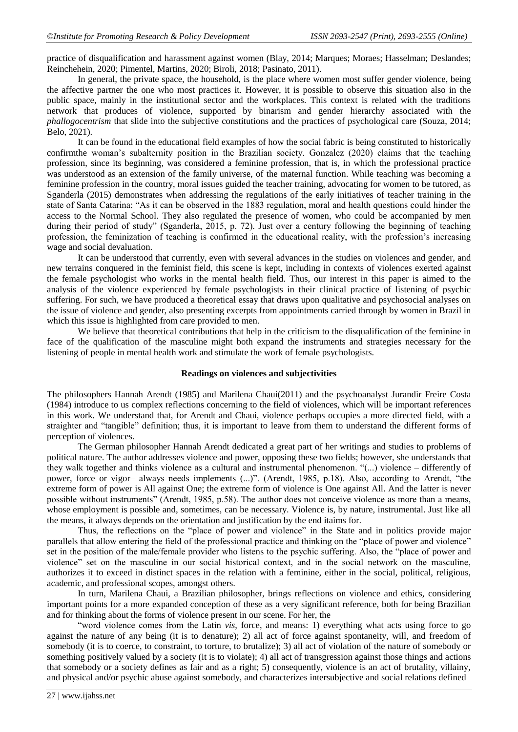practice of disqualification and harassment against women (Blay, 2014; Marques; Moraes; Hasselman; Deslandes; Reinchehein, 2020; Pimentel, Martins, 2020; Biroli, 2018; Pasinato, 2011).

In general, the private space, the household, is the place where women most suffer gender violence, being the affective partner the one who most practices it. However, it is possible to observe this situation also in the public space, mainly in the institutional sector and the workplaces. This context is related with the traditions network that produces of violence, supported by binarism and gender hierarchy associated with the *phallogocentrism* that slide into the subjective constitutions and the practices of psychological care (Souza, 2014; Belo, 2021).

It can be found in the educational field examples of how the social fabric is being constituted to historically confirmthe woman's subalternity position in the Brazilian society. Gonzalez (2020) claims that the teaching profession, since its beginning, was considered a feminine profession, that is, in which the professional practice was understood as an extension of the family universe, of the maternal function. While teaching was becoming a feminine profession in the country, moral issues guided the teacher training, advocating for women to be tutored, as Sganderla (2015) demonstrates when addressing the regulations of the early initiatives of teacher training in the state of Santa Catarina: "As it can be observed in the 1883 regulation, moral and health questions could hinder the access to the Normal School. They also regulated the presence of women, who could be accompanied by men during their period of study" (Sganderla, 2015, p. 72). Just over a century following the beginning of teaching profession, the feminization of teaching is confirmed in the educational reality, with the profession's increasing wage and social devaluation.

It can be understood that currently, even with several advances in the studies on violences and gender, and new terrains conquered in the feminist field, this scene is kept, including in contexts of violences exerted against the female psychologist who works in the mental health field. Thus, our interest in this paper is aimed to the analysis of the violence experienced by female psychologists in their clinical practice of listening of psychic suffering. For such, we have produced a theoretical essay that draws upon qualitative and psychosocial analyses on the issue of violence and gender, also presenting excerpts from appointments carried through by women in Brazil in which this issue is highlighted from care provided to men.

We believe that theoretical contributions that help in the criticism to the disqualification of the feminine in face of the qualification of the masculine might both expand the instruments and strategies necessary for the listening of people in mental health work and stimulate the work of female psychologists.

#### **Readings on violences and subjectivities**

The philosophers Hannah Arendt (1985) and Marilena Chaui(2011) and the psychoanalyst Jurandir Freire Costa (1984) introduce to us complex reflections concerning to the field of violences, which will be important references in this work. We understand that, for Arendt and Chaui, violence perhaps occupies a more directed field, with a straighter and "tangible" definition; thus, it is important to leave from them to understand the different forms of perception of violences.

The German philosopher Hannah Arendt dedicated a great part of her writings and studies to problems of political nature. The author addresses violence and power, opposing these two fields; however, she understands that they walk together and thinks violence as a cultural and instrumental phenomenon. "(...) violence – differently of power, force or vigor– always needs implements (...)". (Arendt, 1985, p.18). Also, according to Arendt, "the extreme form of power is All against One; the extreme form of violence is One against All. And the latter is never possible without instruments" (Arendt, 1985, p.58). The author does not conceive violence as more than a means, whose employment is possible and, sometimes, can be necessary. Violence is, by nature, instrumental. Just like all the means, it always depends on the orientation and justification by the end itaims for.

Thus, the reflections on the "place of power and violence" in the State and in politics provide major parallels that allow entering the field of the professional practice and thinking on the "place of power and violence" set in the position of the male/female provider who listens to the psychic suffering. Also, the "place of power and violence" set on the masculine in our social historical context, and in the social network on the masculine, authorizes it to exceed in distinct spaces in the relation with a feminine, either in the social, political, religious, academic, and professional scopes, amongst others.

In turn, Marilena Chaui, a Brazilian philosopher, brings reflections on violence and ethics, considering important points for a more expanded conception of these as a very significant reference, both for being Brazilian and for thinking about the forms of violence present in our scene. For her, the

"word violence comes from the Latin *vis*, force, and means: 1) everything what acts using force to go against the nature of any being (it is to denature); 2) all act of force against spontaneity, will, and freedom of somebody (it is to coerce, to constraint, to torture, to brutalize); 3) all act of violation of the nature of somebody or something positively valued by a society (it is to violate); 4) all act of transgression against those things and actions that somebody or a society defines as fair and as a right; 5) consequently, violence is an act of brutality, villainy, and physical and/or psychic abuse against somebody, and characterizes intersubjective and social relations defined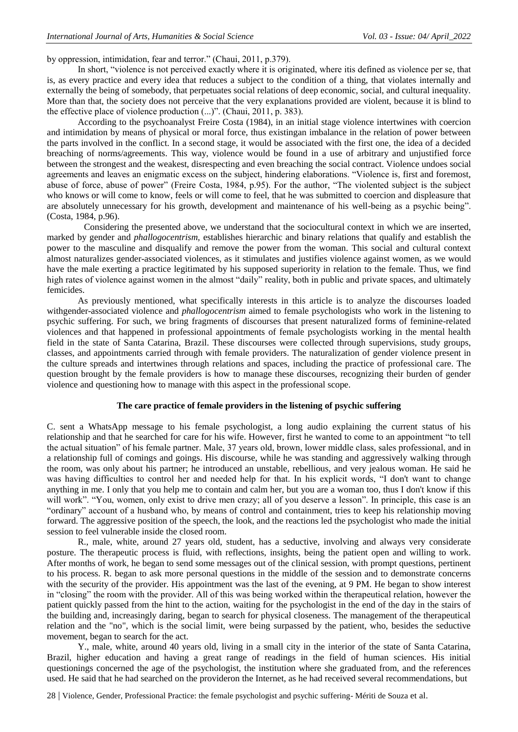by oppression, intimidation, fear and terror." (Chaui, 2011, p.379).

In short, "violence is not perceived exactly where it is originated, where itis defined as violence per se, that is, as every practice and every idea that reduces a subject to the condition of a thing, that violates internally and externally the being of somebody, that perpetuates social relations of deep economic, social, and cultural inequality. More than that, the society does not perceive that the very explanations provided are violent, because it is blind to the effective place of violence production (...)". (Chaui, 2011, p. 383).

According to the psychoanalyst Freire Costa (1984), in an initial stage violence intertwines with coercion and intimidation by means of physical or moral force, thus existingan imbalance in the relation of power between the parts involved in the conflict. In a second stage, it would be associated with the first one, the idea of a decided breaching of norms/agreements. This way, violence would be found in a use of arbitrary and unjustified force between the strongest and the weakest, disrespecting and even breaching the social contract. Violence undoes social agreements and leaves an enigmatic excess on the subject, hindering elaborations. "Violence is, first and foremost, abuse of force, abuse of power" (Freire Costa, 1984, p.95). For the author, "The violented subject is the subject who knows or will come to know, feels or will come to feel, that he was submitted to coercion and displeasure that are absolutely unnecessary for his growth, development and maintenance of his well-being as a psychic being". (Costa, 1984, p.96).

Considering the presented above, we understand that the sociocultural context in which we are inserted, marked by gender and *phallogocentrism,* establishes hierarchic and binary relations that qualify and establish the power to the masculine and disqualify and remove the power from the woman. This social and cultural context almost naturalizes gender-associated violences, as it stimulates and justifies violence against women, as we would have the male exerting a practice legitimated by his supposed superiority in relation to the female. Thus, we find high rates of violence against women in the almost "daily" reality, both in public and private spaces, and ultimately femicides.

As previously mentioned, what specifically interests in this article is to analyze the discourses loaded withgender-associated violence and *phallogocentrism* aimed to female psychologists who work in the listening to psychic suffering. For such, we bring fragments of discourses that present naturalized forms of feminine-related violences and that happened in professional appointments of female psychologists working in the mental health field in the state of Santa Catarina, Brazil. These discourses were collected through supervisions, study groups, classes, and appointments carried through with female providers. The naturalization of gender violence present in the culture spreads and intertwines through relations and spaces, including the practice of professional care. The question brought by the female providers is how to manage these discourses, recognizing their burden of gender violence and questioning how to manage with this aspect in the professional scope.

## **The care practice of female providers in the listening of psychic suffering**

C. sent a WhatsApp message to his female psychologist, a long audio explaining the current status of his relationship and that he searched for care for his wife. However, first he wanted to come to an appointment "to tell the actual situation" of his female partner. Male, 37 years old, brown, lower middle class, sales professional, and in a relationship full of comings and goings. His discourse, while he was standing and aggressively walking through the room, was only about his partner; he introduced an unstable, rebellious, and very jealous woman. He said he was having difficulties to control her and needed help for that. In his explicit words, "I don't want to change anything in me. I only that you help me to contain and calm her, but you are a woman too, thus I don't know if this will work". "You, women, only exist to drive men crazy; all of you deserve a lesson". In principle, this case is an "ordinary" account of a husband who, by means of control and containment, tries to keep his relationship moving forward. The aggressive position of the speech, the look, and the reactions led the psychologist who made the initial session to feel vulnerable inside the closed room.

R., male, white, around 27 years old, student, has a seductive, involving and always very considerate posture. The therapeutic process is fluid, with reflections, insights, being the patient open and willing to work. After months of work, he began to send some messages out of the clinical session, with prompt questions, pertinent to his process. R. began to ask more personal questions in the middle of the session and to demonstrate concerns with the security of the provider. His appointment was the last of the evening, at 9 PM. He began to show interest in "closing" the room with the provider. All of this was being worked within the therapeutical relation, however the patient quickly passed from the hint to the action, waiting for the psychologist in the end of the day in the stairs of the building and, increasingly daring, began to search for physical closeness. The management of the therapeutical relation and the "no", which is the social limit, were being surpassed by the patient, who, besides the seductive movement, began to search for the act.

Y., male, white, around 40 years old, living in a small city in the interior of the state of Santa Catarina, Brazil, higher education and having a great range of readings in the field of human sciences. His initial questionings concerned the age of the psychologist, the institution where she graduated from, and the references used. He said that he had searched on the provideron the Internet, as he had received several recommendations, but

28 | Violence, Gender, Professional Practice: the female psychologist and psychic suffering- Mériti de Souza et al.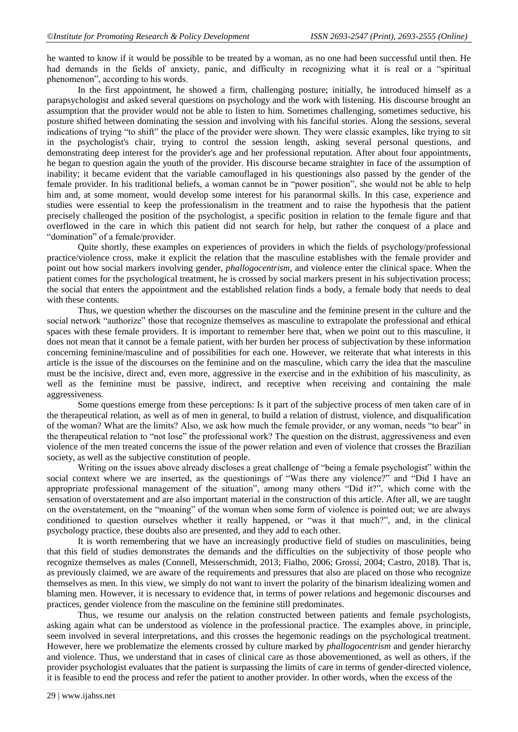he wanted to know if it would be possible to be treated by a woman, as no one had been successful until then. He had demands in the fields of anxiety, panic, and difficulty in recognizing what it is real or a "spiritual" phenomenon", according to his words.

In the first appointment, he showed a firm, challenging posture; initially, he introduced himself as a parapsychologist and asked several questions on psychology and the work with listening. His discourse brought an assumption that the provider would not be able to listen to him. Sometimes challenging, sometimes seductive, his posture shifted between dominating the session and involving with his fanciful stories. Along the sessions, several indications of trying "to shift" the place of the provider were shown. They were classic examples, like trying to sit in the psychologist's chair, trying to control the session length, asking several personal questions, and demonstrating deep interest for the provider's age and her professional reputation. After about four appointments, he began to question again the youth of the provider. His discourse became straighter in face of the assumption of inability; it became evident that the variable camouflaged in his questionings also passed by the gender of the female provider. In his traditional beliefs, a woman cannot be in "power position", she would not be able to help him and, at some moment, would develop some interest for his paranormal skills. In this case, experience and studies were essential to keep the professionalism in the treatment and to raise the hypothesis that the patient precisely challenged the position of the psychologist, a specific position in relation to the female figure and that overflowed in the care in which this patient did not search for help, but rather the conquest of a place and "domination" of a female/provider.

Quite shortly, these examples on experiences of providers in which the fields of psychology/professional practice/violence cross, make it explicit the relation that the masculine establishes with the female provider and point out how social markers involving gender, *phallogocentrism*, and violence enter the clinical space. When the patient comes for the psychological treatment, he is crossed by social markers present in his subjectivation process; the social that enters the appointment and the established relation finds a body, a female body that needs to deal with these contents.

Thus, we question whether the discourses on the masculine and the feminine present in the culture and the social network "authorize" those that recognize themselves as masculine to extrapolate the professional and ethical spaces with these female providers. It is important to remember here that, when we point out to this masculine, it does not mean that it cannot be a female patient, with her burden her process of subjectivation by these information concerning feminine/masculine and of possibilities for each one. However, we reiterate that what interests in this article is the issue of the discourses on the feminine and on the masculine, which carry the idea that the masculine must be the incisive, direct and, even more, aggressive in the exercise and in the exhibition of his masculinity, as well as the feminine must be passive, indirect, and receptive when receiving and containing the male aggressiveness.

Some questions emerge from these perceptions: Is it part of the subjective process of men taken care of in the therapeutical relation, as well as of men in general, to build a relation of distrust, violence, and disqualification of the woman? What are the limits? Also, we ask how much the female provider, or any woman, needs "to bear" in the therapeutical relation to "not lose" the professional work? The question on the distrust, aggressiveness and even violence of the men treated concerns the issue of the power relation and even of violence that crosses the Brazilian society, as well as the subjective constitution of people.

Writing on the issues above already discloses a great challenge of "being a female psychologist" within the social context where we are inserted, as the questionings of "Was there any violence?" and "Did I have an appropriate professional management of the situation", among many others "Did it?", which come with the sensation of overstatement and are also important material in the construction of this article. After all, we are taught on the overstatement, on the "moaning" of the woman when some form of violence is pointed out; we are always conditioned to question ourselves whether it really happened, or "was it that much?", and, in the clinical psychology practice, these doubts also are presented, and they add to each other.

It is worth remembering that we have an increasingly productive field of studies on masculinities, being that this field of studies demonstrates the demands and the difficulties on the subjectivity of those people who recognize themselves as males (Connell, Messerschmidt, 2013; Fialho, 2006; Grossi, 2004; Castro, 2018). That is, as previously claimed, we are aware of the requirements and pressures that also are placed on those who recognize themselves as men. In this view, we simply do not want to invert the polarity of the binarism idealizing women and blaming men. However, it is necessary to evidence that, in terms of power relations and hegemonic discourses and practices, gender violence from the masculine on the feminine still predominates.

Thus, we resume our analysis on the relation constructed between patients and female psychologists, asking again what can be understood as violence in the professional practice. The examples above, in principle, seem involved in several interpretations, and this crosses the hegemonic readings on the psychological treatment. However, here we problematize the elements crossed by culture marked by *phallogocentrism* and gender hierarchy and violence. Thus, we understand that in cases of clinical care as those abovementioned, as well as others, if the provider psychologist evaluates that the patient is surpassing the limits of care in terms of gender-directed violence, it is feasible to end the process and refer the patient to another provider. In other words, when the excess of the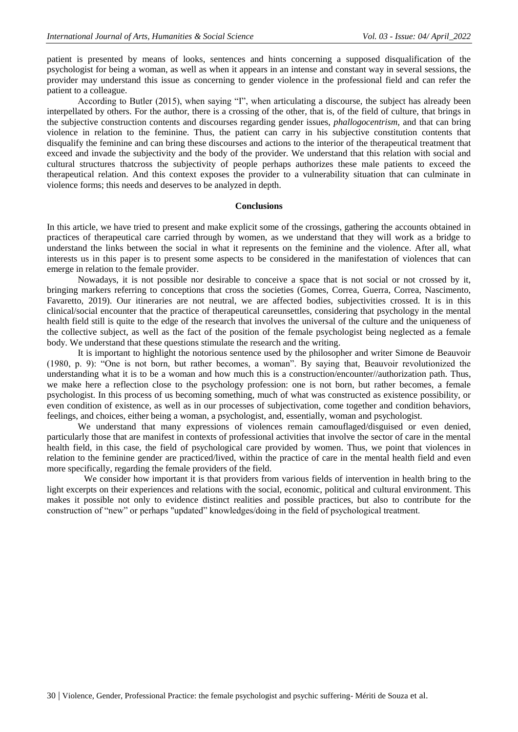patient is presented by means of looks, sentences and hints concerning a supposed disqualification of the psychologist for being a woman, as well as when it appears in an intense and constant way in several sessions, the provider may understand this issue as concerning to gender violence in the professional field and can refer the patient to a colleague.

According to Butler (2015), when saying "I", when articulating a discourse, the subject has already been interpellated by others. For the author, there is a crossing of the other, that is, of the field of culture, that brings in the subjective construction contents and discourses regarding gender issues, *phallogocentrism,* and that can bring violence in relation to the feminine. Thus, the patient can carry in his subjective constitution contents that disqualify the feminine and can bring these discourses and actions to the interior of the therapeutical treatment that exceed and invade the subjectivity and the body of the provider. We understand that this relation with social and cultural structures thatcross the subjectivity of people perhaps authorizes these male patients to exceed the therapeutical relation. And this context exposes the provider to a vulnerability situation that can culminate in violence forms; this needs and deserves to be analyzed in depth.

#### **Conclusions**

In this article, we have tried to present and make explicit some of the crossings, gathering the accounts obtained in practices of therapeutical care carried through by women, as we understand that they will work as a bridge to understand the links between the social in what it represents on the feminine and the violence. After all, what interests us in this paper is to present some aspects to be considered in the manifestation of violences that can emerge in relation to the female provider.

Nowadays, it is not possible nor desirable to conceive a space that is not social or not crossed by it, bringing markers referring to conceptions that cross the societies (Gomes, Correa, Guerra, Correa, Nascimento, Favaretto, 2019). Our itineraries are not neutral, we are affected bodies, subjectivities crossed. It is in this clinical/social encounter that the practice of therapeutical careunsettles, considering that psychology in the mental health field still is quite to the edge of the research that involves the universal of the culture and the uniqueness of the collective subject, as well as the fact of the position of the female psychologist being neglected as a female body. We understand that these questions stimulate the research and the writing.

It is important to highlight the notorious sentence used by the philosopher and writer Simone de Beauvoir (1980, p. 9): "One is not born, but rather becomes, a woman". By saying that, Beauvoir revolutionized the understanding what it is to be a woman and how much this is a construction/encounter//authorization path. Thus, we make here a reflection close to the psychology profession: one is not born, but rather becomes, a female psychologist. In this process of us becoming something, much of what was constructed as existence possibility, or even condition of existence, as well as in our processes of subjectivation, come together and condition behaviors, feelings, and choices, either being a woman, a psychologist, and, essentially, woman and psychologist.

We understand that many expressions of violences remain camouflaged/disguised or even denied, particularly those that are manifest in contexts of professional activities that involve the sector of care in the mental health field, in this case, the field of psychological care provided by women. Thus, we point that violences in relation to the feminine gender are practiced/lived, within the practice of care in the mental health field and even more specifically, regarding the female providers of the field.

We consider how important it is that providers from various fields of intervention in health bring to the light excerpts on their experiences and relations with the social, economic, political and cultural environment. This makes it possible not only to evidence distinct realities and possible practices, but also to contribute for the construction of "new" or perhaps "updated" knowledges/doing in the field of psychological treatment.